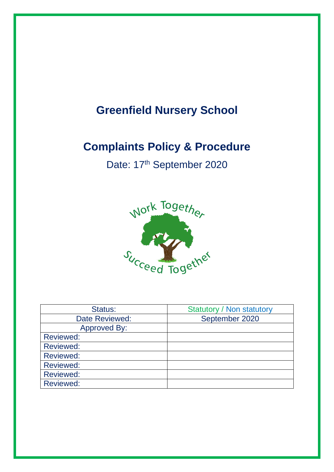# **Greenfield Nursery School**

# **Complaints Policy & Procedure**

Date: 17<sup>th</sup> September 2020



| Status:             | <b>Statutory / Non statutory</b> |
|---------------------|----------------------------------|
| Date Reviewed:      | September 2020                   |
| <b>Approved By:</b> |                                  |
| <b>Reviewed:</b>    |                                  |
| <b>Reviewed:</b>    |                                  |
| <b>Reviewed:</b>    |                                  |
| <b>Reviewed:</b>    |                                  |
| <b>Reviewed:</b>    |                                  |
| <b>Reviewed:</b>    |                                  |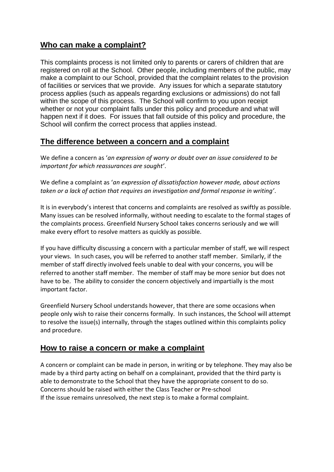## **Who can make a complaint?**

This complaints process is not limited only to parents or carers of children that are registered on roll at the School. Other people, including members of the public, may make a complaint to our School, provided that the complaint relates to the provision of facilities or services that we provide. Any issues for which a separate statutory process applies (such as appeals regarding exclusions or admissions) do not fall within the scope of this process. The School will confirm to you upon receipt whether or not your complaint falls under this policy and procedure and what will happen next if it does. For issues that fall outside of this policy and procedure, the School will confirm the correct process that applies instead.

## **The difference between a concern and a complaint**

We define a concern as '*an expression of worry or doubt over an issue considered to be important for which reassurances are sought'*.

We define a complaint as '*an expression of dissatisfaction however made, about actions taken or a lack of action that requires an investigation and formal response in writing'*.

It is in everybody's interest that concerns and complaints are resolved as swiftly as possible. Many issues can be resolved informally, without needing to escalate to the formal stages of the complaints process. Greenfield Nursery School takes concerns seriously and we will make every effort to resolve matters as quickly as possible.

If you have difficulty discussing a concern with a particular member of staff, we will respect your views. In such cases, you will be referred to another staff member. Similarly, if the member of staff directly involved feels unable to deal with your concerns, you will be referred to another staff member. The member of staff may be more senior but does not have to be. The ability to consider the concern objectively and impartially is the most important factor.

Greenfield Nursery School understands however, that there are some occasions when people only wish to raise their concerns formally. In such instances, the School will attempt to resolve the issue(s) internally, through the stages outlined within this complaints policy and procedure.

## **How to raise a concern or make a complaint**

A concern or complaint can be made in person, in writing or by telephone. They may also be made by a third party acting on behalf on a complainant, provided that the third party is able to demonstrate to the School that they have the appropriate consent to do so. Concerns should be raised with either the Class Teacher or Pre-school If the issue remains unresolved, the next step is to make a formal complaint.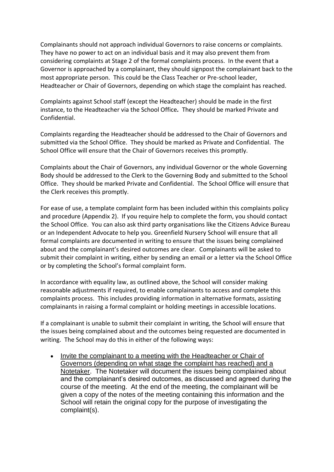Complainants should not approach individual Governors to raise concerns or complaints. They have no power to act on an individual basis and it may also prevent them from considering complaints at Stage 2 of the formal complaints process. In the event that a Governor is approached by a complainant, they should signpost the complainant back to the most appropriate person. This could be the Class Teacher or Pre-school leader, Headteacher or Chair of Governors, depending on which stage the complaint has reached.

Complaints against School staff (except the Headteacher) should be made in the first instance, to the Headteacher via the School Office*.* They should be marked Private and Confidential.

Complaints regarding the Headteacher should be addressed to the Chair of Governors and submitted via the School Office. They should be marked as Private and Confidential. The School Office will ensure that the Chair of Governors receives this promptly.

Complaints about the Chair of Governors, any individual Governor or the whole Governing Body should be addressed to the Clerk to the Governing Body and submitted to the School Office. They should be marked Private and Confidential. The School Office will ensure that the Clerk receives this promptly.

For ease of use, a template complaint form has been included within this complaints policy and procedure (Appendix 2). If you require help to complete the form, you should contact the School Office. You can also ask third party organisations like the Citizens Advice Bureau or an Independent Advocate to help you. Greenfield Nursery School will ensure that all formal complaints are documented in writing to ensure that the issues being complained about and the complainant's desired outcomes are clear. Complainants will be asked to submit their complaint in writing, either by sending an email or a letter via the School Office or by completing the School's formal complaint form.

In accordance with equality law, as outlined above, the School will consider making reasonable adjustments if required, to enable complainants to access and complete this complaints process. This includes providing information in alternative formats, assisting complainants in raising a formal complaint or holding meetings in accessible locations.

If a complainant is unable to submit their complaint in writing, the School will ensure that the issues being complained about and the outcomes being requested are documented in writing. The School may do this in either of the following ways:

• Invite the complainant to a meeting with the Headteacher or Chair of Governors (depending on what stage the complaint has reached) and a Notetaker. The Notetaker will document the issues being complained about and the complainant's desired outcomes, as discussed and agreed during the course of the meeting. At the end of the meeting, the complainant will be given a copy of the notes of the meeting containing this information and the School will retain the original copy for the purpose of investigating the complaint(s).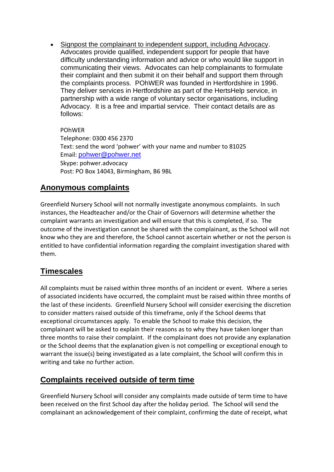• Signpost the complainant to independent support, including Advocacy. Advocates provide qualified, independent support for people that have difficulty understanding information and advice or who would like support in communicating their views. Advocates can help complainants to formulate their complaint and then submit it on their behalf and support them through the complaints process. POhWER was founded in Hertfordshire in 1996. They deliver services in Hertfordshire as part of the HertsHelp service, in partnership with a wide range of voluntary sector organisations, including Advocacy. It is a free and impartial service. Their contact details are as follows:

POhWER Telephone: 0300 456 2370 Text: send the word 'pohwer' with your name and number to 81025 Email: [pohwer@pohwer.net](mailto:pohwer@pohwer.net) Skype: pohwer.advocacy Post: PO Box 14043, Birmingham, B6 9BL

# **Anonymous complaints**

Greenfield Nursery School will not normally investigate anonymous complaints. In such instances, the Headteacher and/or the Chair of Governors will determine whether the complaint warrants an investigation and will ensure that this is completed, if so. The outcome of the investigation cannot be shared with the complainant, as the School will not know who they are and therefore, the School cannot ascertain whether or not the person is entitled to have confidential information regarding the complaint investigation shared with them.

# **Timescales**

All complaints must be raised within three months of an incident or event. Where a series of associated incidents have occurred, the complaint must be raised within three months of the last of these incidents. Greenfield Nursery School will consider exercising the discretion to consider matters raised outside of this timeframe, only if the School deems that exceptional circumstances apply. To enable the School to make this decision, the complainant will be asked to explain their reasons as to why they have taken longer than three months to raise their complaint. If the complainant does not provide any explanation or the School deems that the explanation given is not compelling or exceptional enough to warrant the issue(s) being investigated as a late complaint, the School will confirm this in writing and take no further action.

## **Complaints received outside of term time**

Greenfield Nursery School will consider any complaints made outside of term time to have been received on the first School day after the holiday period. The School will send the complainant an acknowledgement of their complaint, confirming the date of receipt, what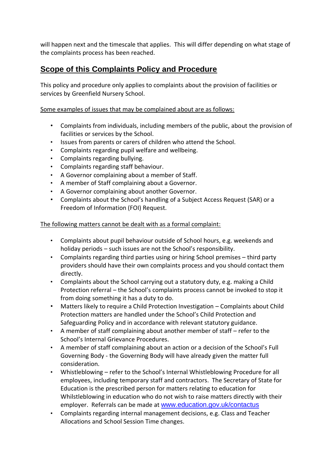will happen next and the timescale that applies. This will differ depending on what stage of the complaints process has been reached.

# **Scope of this Complaints Policy and Procedure**

This policy and procedure only applies to complaints about the provision of facilities or services by Greenfield Nursery School.

Some examples of issues that may be complained about are as follows:

- Complaints from individuals, including members of the public, about the provision of facilities or services by the School.
- Issues from parents or carers of children who attend the School.
- Complaints regarding pupil welfare and wellbeing.
- Complaints regarding bullying.
- Complaints regarding staff behaviour.
- A Governor complaining about a member of Staff.
- A member of Staff complaining about a Governor.
- A Governor complaining about another Governor.
- Complaints about the School's handling of a Subject Access Request (SAR) or a Freedom of Information (FOI) Request.

The following matters cannot be dealt with as a formal complaint:

- Complaints about pupil behaviour outside of School hours, e.g. weekends and holiday periods – such issues are not the School's responsibility.
- Complaints regarding third parties using or hiring School premises third party providers should have their own complaints process and you should contact them directly.
- Complaints about the School carrying out a statutory duty, e.g. making a Child Protection referral – the School's complaints process cannot be invoked to stop it from doing something it has a duty to do.
- Matters likely to require a Child Protection Investigation Complaints about Child Protection matters are handled under the School's Child Protection and Safeguarding Policy and in accordance with relevant statutory guidance.
- A member of staff complaining about another member of staff refer to the School's Internal Grievance Procedures.
- A member of staff complaining about an action or a decision of the School's Full Governing Body - the Governing Body will have already given the matter full consideration.
- Whistleblowing refer to the School's Internal Whistleblowing Procedure for all employees, including temporary staff and contractors. The Secretary of State for Education is the prescribed person for matters relating to education for Whilstleblowing in education who do not wish to raise matters directly with their employer. Referrals can be made at [www.education.gov.uk/contactus](http://www.education.gov.uk/contactus)
- Complaints regarding internal management decisions, e.g. Class and Teacher Allocations and School Session Time changes.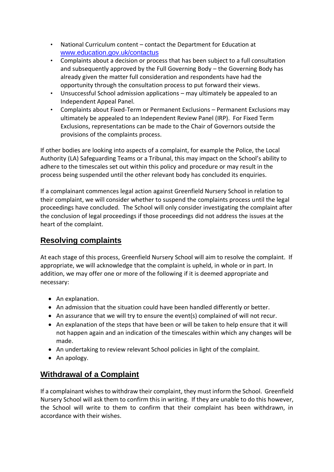- National Curriculum content contact the Department for Education at [www.education.gov.uk/contactus](http://www.education.gov.uk/contactus)
- Complaints about a decision or process that has been subject to a full consultation and subsequently approved by the Full Governing Body – the Governing Body has already given the matter full consideration and respondents have had the opportunity through the consultation process to put forward their views.
- Unsuccessful School admission applications may ultimately be appealed to an Independent Appeal Panel.
- Complaints about Fixed-Term or Permanent Exclusions Permanent Exclusions may ultimately be appealed to an Independent Review Panel (IRP). For Fixed Term Exclusions, representations can be made to the Chair of Governors outside the provisions of the complaints process.

If other bodies are looking into aspects of a complaint, for example the Police, the Local Authority (LA) Safeguarding Teams or a Tribunal, this may impact on the School's ability to adhere to the timescales set out within this policy and procedure or may result in the process being suspended until the other relevant body has concluded its enquiries.

If a complainant commences legal action against Greenfield Nursery School in relation to their complaint, we will consider whether to suspend the complaints process until the legal proceedings have concluded. The School will only consider investigating the complaint after the conclusion of legal proceedings if those proceedings did not address the issues at the heart of the complaint.

# **Resolving complaints**

At each stage of this process, Greenfield Nursery School will aim to resolve the complaint. If appropriate, we will acknowledge that the complaint is upheld, in whole or in part. In addition, we may offer one or more of the following if it is deemed appropriate and necessary:

- An explanation.
- An admission that the situation could have been handled differently or better.
- An assurance that we will try to ensure the event(s) complained of will not recur.
- An explanation of the steps that have been or will be taken to help ensure that it will not happen again and an indication of the timescales within which any changes will be made.
- An undertaking to review relevant School policies in light of the complaint.
- An apology.

# **Withdrawal of a Complaint**

If a complainant wishes to withdraw their complaint, they must inform the School. Greenfield Nursery School will ask them to confirm this in writing. If they are unable to do this however, the School will write to them to confirm that their complaint has been withdrawn, in accordance with their wishes.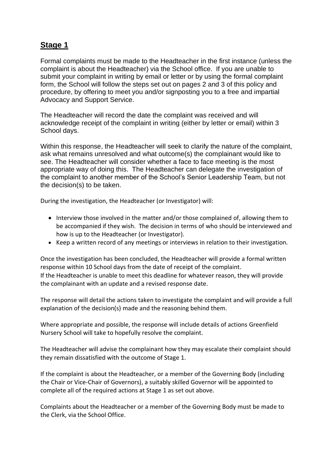## **Stage 1**

Formal complaints must be made to the Headteacher in the first instance (unless the complaint is about the Headteacher) via the School office. If you are unable to submit your complaint in writing by email or letter or by using the formal complaint form, the School will follow the steps set out on pages 2 and 3 of this policy and procedure, by offering to meet you and/or signposting you to a free and impartial Advocacy and Support Service.

The Headteacher will record the date the complaint was received and will acknowledge receipt of the complaint in writing (either by letter or email) within 3 School days.

Within this response, the Headteacher will seek to clarify the nature of the complaint, ask what remains unresolved and what outcome(s) the complainant would like to see. The Headteacher will consider whether a face to face meeting is the most appropriate way of doing this. The Headteacher can delegate the investigation of the complaint to another member of the School's Senior Leadership Team, but not the decision(s) to be taken.

During the investigation, the Headteacher (or Investigator) will:

- Interview those involved in the matter and/or those complained of, allowing them to be accompanied if they wish. The decision in terms of who should be interviewed and how is up to the Headteacher (or Investigator).
- Keep a written record of any meetings or interviews in relation to their investigation.

Once the investigation has been concluded, the Headteacher will provide a formal written response within 10 School days from the date of receipt of the complaint. If the Headteacher is unable to meet this deadline for whatever reason, they will provide the complainant with an update and a revised response date.

The response will detail the actions taken to investigate the complaint and will provide a full explanation of the decision(s) made and the reasoning behind them.

Where appropriate and possible, the response will include details of actions Greenfield Nursery School will take to hopefully resolve the complaint.

The Headteacher will advise the complainant how they may escalate their complaint should they remain dissatisfied with the outcome of Stage 1.

If the complaint is about the Headteacher, or a member of the Governing Body (including the Chair or Vice-Chair of Governors), a suitably skilled Governor will be appointed to complete all of the required actions at Stage 1 as set out above.

Complaints about the Headteacher or a member of the Governing Body must be made to the Clerk, via the School Office.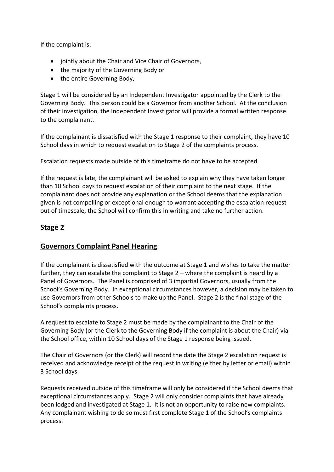If the complaint is:

- jointly about the Chair and Vice Chair of Governors,
- the majority of the Governing Body or
- the entire Governing Body,

Stage 1 will be considered by an Independent Investigator appointed by the Clerk to the Governing Body. This person could be a Governor from another School. At the conclusion of their investigation, the Independent Investigator will provide a formal written response to the complainant.

If the complainant is dissatisfied with the Stage 1 response to their complaint, they have 10 School days in which to request escalation to Stage 2 of the complaints process.

Escalation requests made outside of this timeframe do not have to be accepted.

If the request is late, the complainant will be asked to explain why they have taken longer than 10 School days to request escalation of their complaint to the next stage. If the complainant does not provide any explanation or the School deems that the explanation given is not compelling or exceptional enough to warrant accepting the escalation request out of timescale, the School will confirm this in writing and take no further action.

#### **Stage 2**

#### **Governors Complaint Panel Hearing**

If the complainant is dissatisfied with the outcome at Stage 1 and wishes to take the matter further, they can escalate the complaint to Stage 2 – where the complaint is heard by a Panel of Governors. The Panel is comprised of 3 impartial Governors, usually from the School's Governing Body. In exceptional circumstances however, a decision may be taken to use Governors from other Schools to make up the Panel. Stage 2 is the final stage of the School's complaints process.

A request to escalate to Stage 2 must be made by the complainant to the Chair of the Governing Body (or the Clerk to the Governing Body if the complaint is about the Chair) via the School office, within 10 School days of the Stage 1 response being issued.

The Chair of Governors (or the Clerk) will record the date the Stage 2 escalation request is received and acknowledge receipt of the request in writing (either by letter or email) within 3 School days.

Requests received outside of this timeframe will only be considered if the School deems that exceptional circumstances apply. Stage 2 will only consider complaints that have already been lodged and investigated at Stage 1. It is not an opportunity to raise new complaints. Any complainant wishing to do so must first complete Stage 1 of the School's complaints process.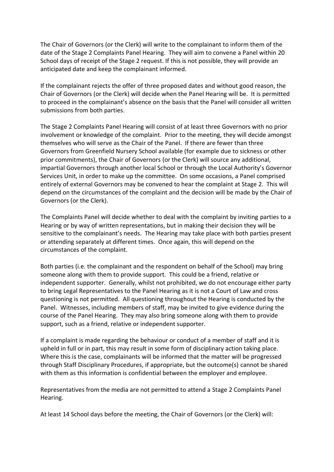The Chair of Governors (or the Clerk) will write to the complainant to inform them of the date of the Stage 2 Complaints Panel Hearing. They will aim to convene a Panel within 20 School days of receipt of the Stage 2 request. If this is not possible, they will provide an anticipated date and keep the complainant informed.

If the complainant rejects the offer of three proposed dates and without good reason, the Chair of Governors (or the Clerk) will decide when the Panel Hearing will be. It is permitted to proceed in the complainant's absence on the basis that the Panel will consider all written submissions from both parties.

The Stage 2 Complaints Panel Hearing will consist of at least three Governors with no prior involvement or knowledge of the complaint. Prior to the meeting, they will decide amongst themselves who will serve as the Chair of the Panel. If there are fewer than three Governors from Greenfield Nursery School available (for example due to sickness or other prior commitments), the Chair of Governors (or the Clerk) will source any additional, impartial Governors through another local School or through the Local Authority's Governor Services Unit, in order to make up the committee. On some occasions, a Panel comprised entirely of external Governors may be convened to hear the complaint at Stage 2. This will depend on the circumstances of the complaint and the decision will be made by the Chair of Governors (or the Clerk).

The Complaints Panel will decide whether to deal with the complaint by inviting parties to a Hearing or by way of written representations, but in making their decision they will be sensitive to the complainant's needs. The Hearing may take place with both parties present or attending separately at different times. Once again, this will depend on the circumstances of the complaint.

Both parties (i.e. the complainant and the respondent on behalf of the School) may bring someone along with them to provide support. This could be a friend, relative or independent supporter. Generally, whilst not prohibited, we do not encourage either party to bring Legal Representatives to the Panel Hearing as it is not a Court of Law and cross questioning is not permitted. All questioning throughout the Hearing is conducted by the Panel. Witnesses, including members of staff, may be invited to give evidence during the course of the Panel Hearing. They may also bring someone along with them to provide support, such as a friend, relative or independent supporter.

If a complaint is made regarding the behaviour or conduct of a member of staff and it is upheld in full or in part, this may result in some form of disciplinary action taking place. Where this is the case, complainants will be informed that the matter will be progressed through Staff Disciplinary Procedures, if appropriate, but the outcome(s) cannot be shared with them as this information is confidential between the employer and employee.

Representatives from the media are not permitted to attend a Stage 2 Complaints Panel Hearing.

At least 14 School days before the meeting, the Chair of Governors (or the Clerk) will: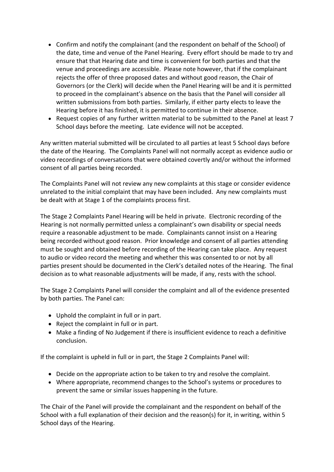- Confirm and notify the complainant (and the respondent on behalf of the School) of the date, time and venue of the Panel Hearing. Every effort should be made to try and ensure that that Hearing date and time is convenient for both parties and that the venue and proceedings are accessible. Please note however, that if the complainant rejects the offer of three proposed dates and without good reason, the Chair of Governors (or the Clerk) will decide when the Panel Hearing will be and it is permitted to proceed in the complainant's absence on the basis that the Panel will consider all written submissions from both parties. Similarly, if either party elects to leave the Hearing before it has finished, it is permitted to continue in their absence.
- Request copies of any further written material to be submitted to the Panel at least 7 School days before the meeting. Late evidence will not be accepted.

Any written material submitted will be circulated to all parties at least 5 School days before the date of the Hearing. The Complaints Panel will not normally accept as evidence audio or video recordings of conversations that were obtained covertly and/or without the informed consent of all parties being recorded.

The Complaints Panel will not review any new complaints at this stage or consider evidence unrelated to the initial complaint that may have been included. Any new complaints must be dealt with at Stage 1 of the complaints process first.

The Stage 2 Complaints Panel Hearing will be held in private. Electronic recording of the Hearing is not normally permitted unless a complainant's own disability or special needs require a reasonable adjustment to be made. Complainants cannot insist on a Hearing being recorded without good reason. Prior knowledge and consent of all parties attending must be sought and obtained before recording of the Hearing can take place. Any request to audio or video record the meeting and whether this was consented to or not by all parties present should be documented in the Clerk's detailed notes of the Hearing. The final decision as to what reasonable adjustments will be made, if any, rests with the school.

The Stage 2 Complaints Panel will consider the complaint and all of the evidence presented by both parties. The Panel can:

- Uphold the complaint in full or in part.
- Reject the complaint in full or in part.
- Make a finding of No Judgement if there is insufficient evidence to reach a definitive conclusion.

If the complaint is upheld in full or in part, the Stage 2 Complaints Panel will:

- Decide on the appropriate action to be taken to try and resolve the complaint.
- Where appropriate, recommend changes to the School's systems or procedures to prevent the same or similar issues happening in the future.

The Chair of the Panel will provide the complainant and the respondent on behalf of the School with a full explanation of their decision and the reason(s) for it, in writing, within 5 School days of the Hearing.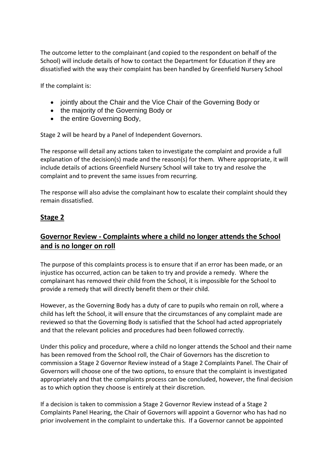The outcome letter to the complainant (and copied to the respondent on behalf of the School) will include details of how to contact the Department for Education if they are dissatisfied with the way their complaint has been handled by Greenfield Nursery School

If the complaint is:

- jointly about the Chair and the Vice Chair of the Governing Body or
- the majority of the Governing Body or
- the entire Governing Body,

Stage 2 will be heard by a Panel of Independent Governors.

The response will detail any actions taken to investigate the complaint and provide a full explanation of the decision(s) made and the reason(s) for them. Where appropriate, it will include details of actions Greenfield Nursery School will take to try and resolve the complaint and to prevent the same issues from recurring.

The response will also advise the complainant how to escalate their complaint should they remain dissatisfied.

### **Stage 2**

## **Governor Review - Complaints where a child no longer attends the School and is no longer on roll**

The purpose of this complaints process is to ensure that if an error has been made, or an injustice has occurred, action can be taken to try and provide a remedy. Where the complainant has removed their child from the School, it is impossible for the School to provide a remedy that will directly benefit them or their child.

However, as the Governing Body has a duty of care to pupils who remain on roll, where a child has left the School, it will ensure that the circumstances of any complaint made are reviewed so that the Governing Body is satisfied that the School had acted appropriately and that the relevant policies and procedures had been followed correctly.

Under this policy and procedure, where a child no longer attends the School and their name has been removed from the School roll, the Chair of Governors has the discretion to commission a Stage 2 Governor Review instead of a Stage 2 Complaints Panel. The Chair of Governors will choose one of the two options, to ensure that the complaint is investigated appropriately and that the complaints process can be concluded, however, the final decision as to which option they choose is entirely at their discretion.

If a decision is taken to commission a Stage 2 Governor Review instead of a Stage 2 Complaints Panel Hearing, the Chair of Governors will appoint a Governor who has had no prior involvement in the complaint to undertake this. If a Governor cannot be appointed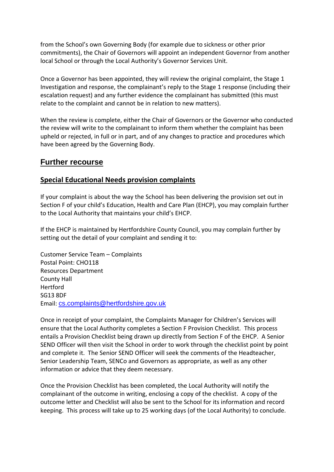from the School's own Governing Body (for example due to sickness or other prior commitments), the Chair of Governors will appoint an independent Governor from another local School or through the Local Authority's Governor Services Unit.

Once a Governor has been appointed, they will review the original complaint, the Stage 1 Investigation and response, the complainant's reply to the Stage 1 response (including their escalation request) and any further evidence the complainant has submitted (this must relate to the complaint and cannot be in relation to new matters).

When the review is complete, either the Chair of Governors or the Governor who conducted the review will write to the complainant to inform them whether the complaint has been upheld or rejected, in full or in part, and of any changes to practice and procedures which have been agreed by the Governing Body.

### **Further recourse**

#### **Special Educational Needs provision complaints**

If your complaint is about the way the School has been delivering the provision set out in Section F of your child's Education, Health and Care Plan (EHCP), you may complain further to the Local Authority that maintains your child's EHCP.

If the EHCP is maintained by Hertfordshire County Council, you may complain further by setting out the detail of your complaint and sending it to:

Customer Service Team – Complaints Postal Point: CHO118 Resources Department County Hall Hertford SG13 8DF Email: [cs.complaints@hertfordshire.gov.uk](mailto:cs.complaints@hertfordshire.gov.uk)

Once in receipt of your complaint, the Complaints Manager for Children's Services will ensure that the Local Authority completes a Section F Provision Checklist. This process entails a Provision Checklist being drawn up directly from Section F of the EHCP. A Senior SEND Officer will then visit the School in order to work through the checklist point by point and complete it. The Senior SEND Officer will seek the comments of the Headteacher, Senior Leadership Team, SENCo and Governors as appropriate, as well as any other information or advice that they deem necessary.

Once the Provision Checklist has been completed, the Local Authority will notify the complainant of the outcome in writing, enclosing a copy of the checklist. A copy of the outcome letter and Checklist will also be sent to the School for its information and record keeping. This process will take up to 25 working days (of the Local Authority) to conclude.